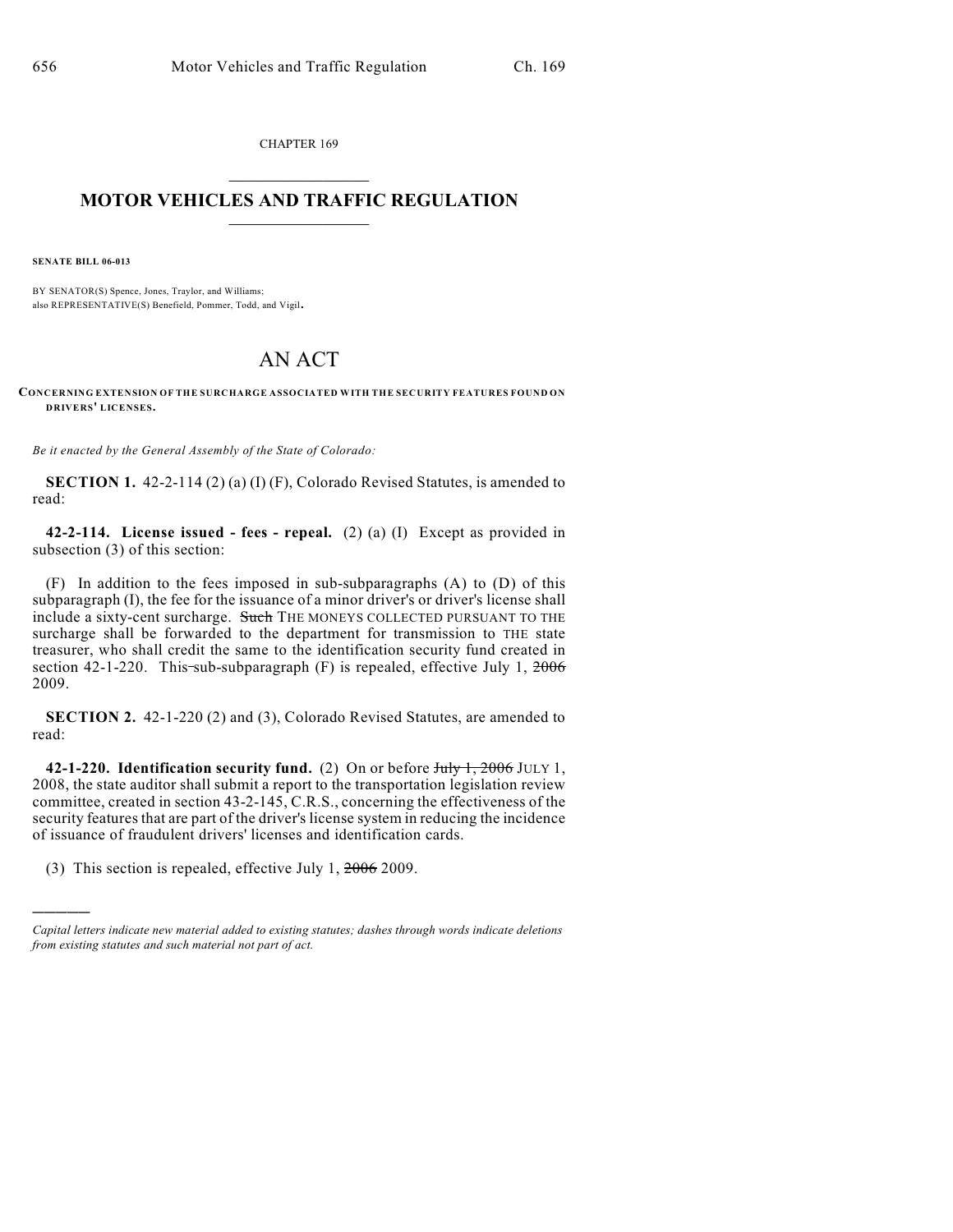CHAPTER 169

## $\overline{\phantom{a}}$  . The set of the set of the set of the set of the set of the set of the set of the set of the set of the set of the set of the set of the set of the set of the set of the set of the set of the set of the set o **MOTOR VEHICLES AND TRAFFIC REGULATION**  $\frac{1}{2}$  ,  $\frac{1}{2}$  ,  $\frac{1}{2}$  ,  $\frac{1}{2}$  ,  $\frac{1}{2}$  ,  $\frac{1}{2}$  ,  $\frac{1}{2}$  ,  $\frac{1}{2}$

**SENATE BILL 06-013**

)))))

BY SENATOR(S) Spence, Jones, Traylor, and Williams; also REPRESENTATIVE(S) Benefield, Pommer, Todd, and Vigil.

## AN ACT

**CONCERNING EXTENSION OF THE SURCHARGE ASSOCIATED WITH THE SECURITY FEATURES FOUND ON DRIVERS' LICENSES.**

*Be it enacted by the General Assembly of the State of Colorado:*

**SECTION 1.** 42-2-114 (2) (a) (I) (F), Colorado Revised Statutes, is amended to read:

**42-2-114. License issued - fees - repeal.** (2) (a) (I) Except as provided in subsection (3) of this section:

(F) In addition to the fees imposed in sub-subparagraphs (A) to (D) of this subparagraph (I), the fee for the issuance of a minor driver's or driver's license shall include a sixty-cent surcharge. Such THE MONEYS COLLECTED PURSUANT TO THE surcharge shall be forwarded to the department for transmission to THE state treasurer, who shall credit the same to the identification security fund created in section 42-1-220. This-sub-subparagraph  $(F)$  is repealed, effective July 1,  $2006$ 2009.

**SECTION 2.** 42-1-220 (2) and (3), Colorado Revised Statutes, are amended to read:

**42-1-220. Identification security fund.** (2) On or before July 1, 2006 JULY 1, 2008, the state auditor shall submit a report to the transportation legislation review committee, created in section 43-2-145, C.R.S., concerning the effectiveness of the security features that are part of the driver's license system in reducing the incidence of issuance of fraudulent drivers' licenses and identification cards.

(3) This section is repealed, effective July 1,  $2006$  2009.

*Capital letters indicate new material added to existing statutes; dashes through words indicate deletions from existing statutes and such material not part of act.*